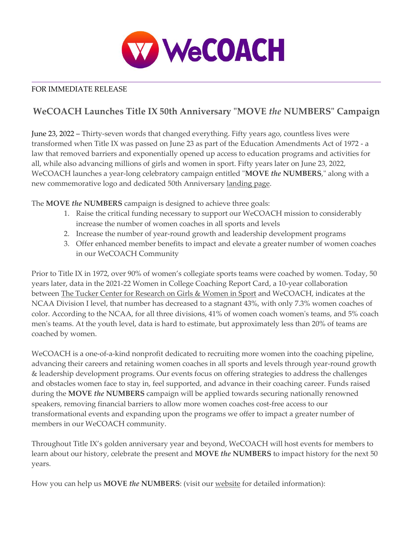

## FOR IMMEDIATE RELEASE

# **WeCOACH Launches Title IX 50th Anniversary "MOVE** *the* **NUMBERS" Campaign**

June 23, 2022 – Thirty-seven words that changed everything. Fifty years ago, countless lives were transformed when Title IX was passed on June 23 as part of the Education Amendments Act of 1972 - a law that removed barriers and exponentially opened up access to education programs and activities for all, while also advancing millions of girls and women in sport. Fifty years later on June 23, 2022, WeCOACH launches a year-long celebratory campaign entitled "**MOVE** *the* **NUMBERS**," along with a new commemorative logo and dedicated 50th Anniversary [landing page.](http://wecoachsports.org/50th)

The **MOVE** *the* **NUMBERS** campaign is designed to achieve three goals:

- 1. Raise the critical funding necessary to support our WeCOACH mission to considerably increase the number of women coaches in all sports and levels
- 2. Increase the number of year-round growth and leadership development programs
- 3. Offer enhanced member benefits to impact and elevate a greater number of women coaches in our WeCOACH Community

Prior to Title IX in 1972, over 90% of women's collegiate sports teams were coached by women. Today, 50 years later, data in the 2021-22 Women in College Coaching Report Card, a 10-year collaboration between [The Tucker Center for Research on Girls & Women in Sport](https://www.cehd.umn.edu/tuckercenter/) and WeCOACH, indicates at the NCAA Division I level, that number has decreased to a stagnant 43%, with only 7.3% women coaches of color. According to the NCAA, for all three divisions, 41% of women coach women's teams, and 5% coach men's teams. At the youth level, data is hard to estimate, but approximately less than 20% of teams are coached by women.

WeCOACH is a one-of-a-kind nonprofit dedicated to recruiting more women into the coaching pipeline, advancing their careers and retaining women coaches in all sports and levels through year-round growth & leadership development programs. Our events focus on offering strategies to address the challenges and obstacles women face to stay in, feel supported, and advance in their coaching career. Funds raised during the **MOVE** *the* **NUMBERS** campaign will be applied towards securing nationally renowned speakers, removing financial barriers to allow more women coaches cost-free access to our transformational events and expanding upon the programs we offer to impact a greater number of members in our WeCOACH community.

Throughout Title IX's golden anniversary year and beyond, WeCOACH will host events for members to learn about our history, celebrate the present and **MOVE** *the* **NUMBERS** to impact history for the next 50 years.

How you can help us **MOVE** *the* **NUMBERS**: (visit our [website](http://wecoachsports.org/50th) for detailed information):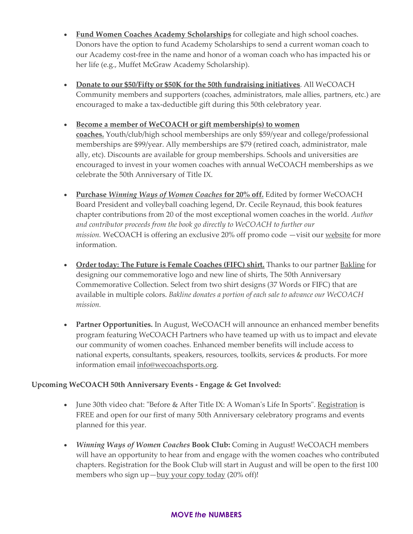- **[Fund Women Coaches Academy Scholarships](http://wecoachsports.org/50th)** for collegiate and high school coaches. Donors have the option to fund Academy Scholarships to send a current woman coach to our Academy cost-free in the name and honor of a woman coach who has impacted his or her life (e.g., Muffet McGraw Academy Scholarship).
- **[Donate to our \\$50/Fifty or \\$50K for the 50th fundraising initiatives](http://wecoachsports.org/50th)**. All WeCOACH Community members and supporters (coaches, administrators, male allies, partners, etc.) are encouraged to make a tax-deductible gift during this 50th celebratory year.

### • **[Become a member of WeCOACH or gift membership\(s\) to women](https://wecoachsports.org/membership/membership-options/)**

**[coaches.](https://wecoachsports.org/membership/membership-options/)** Youth/club/high school memberships are only \$59/year and college/professional memberships are \$99/year. Ally memberships are \$79 (retired coach, administrator, male ally, etc). Discounts are available for group memberships. Schools and universities are encouraged to invest in your women coaches with annual WeCOACH memberships as we celebrate the 50th Anniversary of Title IX.

- **[Purchase](https://wecoachsports.org/winning-ways-of-women-coaches/)** *[Winning Ways of Women Coaches](https://wecoachsports.org/winning-ways-of-women-coaches/)* **[for 20% off.](https://wecoachsports.org/winning-ways-of-women-coaches/)** Edited by former WeCOACH Board President and volleyball coaching legend, Dr. Cecile Reynaud, this book features chapter contributions from 20 of the most exceptional women coaches in the world. *Author and contributor proceeds from the book go directly to WeCOACH to further our mission.* WeCOACH is offering an exclusive 20% off promo code —visit our [website](https://wecoachsports.org/winning-ways-of-women-coaches/) for more information.
- **[Order today: The Future is Female Coaches \(FIFC\) shirt.](https://wecoachsports.org/get-involved/shopwecoach/)** Thanks to our partner [Bakline](https://www.bakline.nyc/pages/supporting-female-coaches) for designing our commemorative logo and new line of shirts, The 50th Anniversary Commemorative Collection. Select from two shirt designs (37 Words or FIFC) that are available in multiple colors. *Bakline donates a portion of each sale to advance our WeCOACH mission.*
- **Partner Opportunities.** In August, WeCOACH will announce an enhanced member benefits program featuring WeCOACH Partners who have teamed up with us to impact and elevate our community of women coaches. Enhanced member benefits will include access to national experts, consultants, speakers, resources, toolkits, services & products. For more information email [info@wecoachsports.org.](mailto:info@wecoachsports.org)

#### **Upcoming WeCOACH 50th Anniversary Events - Engage & Get Involved:**

- June 30th video chat: "Before & After Title IX: A Woman's Life In Sports". [Registration](https://wecoachsports.org/programs-events/video-chats-2/) is FREE and open for our first of many 50th Anniversary celebratory programs and events planned for this year.
- *Winning Ways of Women Coaches* **Book Club:** Coming in August! WeCOACH members will have an opportunity to hear from and engage with the women coaches who contributed chapters. Registration for the Book Club will start in August and will be open to the first 100 members who sign up—[buy your copy today](https://wecoachsports.org/winning-ways-of-women-coaches/) (20% off)!

#### **MOVE** *the* **NUMBERS**